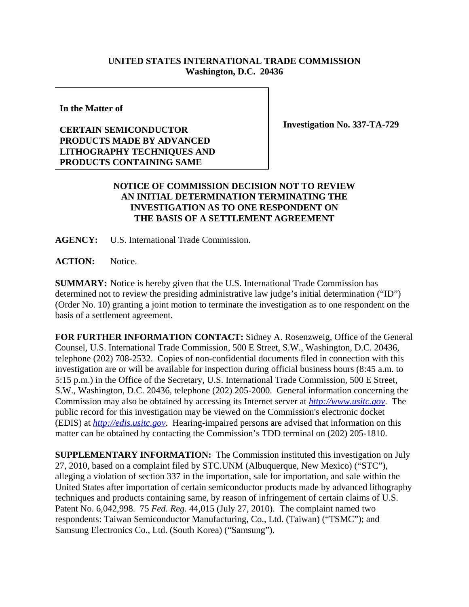## **UNITED STATES INTERNATIONAL TRADE COMMISSION Washington, D.C. 20436**

**In the Matter of**

## **CERTAIN SEMICONDUCTOR PRODUCTS MADE BY ADVANCED LITHOGRAPHY TECHNIQUES AND PRODUCTS CONTAINING SAME**

**Investigation No. 337-TA-729**

## **NOTICE OF COMMISSION DECISION NOT TO REVIEW AN INITIAL DETERMINATION TERMINATING THE INVESTIGATION AS TO ONE RESPONDENT ON THE BASIS OF A SETTLEMENT AGREEMENT**

**AGENCY:** U.S. International Trade Commission.

**ACTION:** Notice.

**SUMMARY:** Notice is hereby given that the U.S. International Trade Commission has determined not to review the presiding administrative law judge's initial determination ("ID") (Order No. 10) granting a joint motion to terminate the investigation as to one respondent on the basis of a settlement agreement.

**FOR FURTHER INFORMATION CONTACT:** Sidney A. Rosenzweig, Office of the General Counsel, U.S. International Trade Commission, 500 E Street, S.W., Washington, D.C. 20436, telephone (202) 708-2532. Copies of non-confidential documents filed in connection with this investigation are or will be available for inspection during official business hours (8:45 a.m. to 5:15 p.m.) in the Office of the Secretary, U.S. International Trade Commission, 500 E Street, S.W., Washington, D.C. 20436, telephone (202) 205-2000. General information concerning the Commission may also be obtained by accessing its Internet server at *http://www.usitc.gov*. The public record for this investigation may be viewed on the Commission's electronic docket (EDIS) at *http://edis.usitc.gov*. Hearing-impaired persons are advised that information on this matter can be obtained by contacting the Commission's TDD terminal on (202) 205-1810.

**SUPPLEMENTARY INFORMATION:** The Commission instituted this investigation on July 27, 2010, based on a complaint filed by STC.UNM (Albuquerque, New Mexico) ("STC"), alleging a violation of section 337 in the importation, sale for importation, and sale within the United States after importation of certain semiconductor products made by advanced lithography techniques and products containing same, by reason of infringement of certain claims of U.S. Patent No. 6,042,998. 75 *Fed. Reg.* 44,015 (July 27, 2010). The complaint named two respondents: Taiwan Semiconductor Manufacturing, Co., Ltd. (Taiwan) ("TSMC"); and Samsung Electronics Co., Ltd. (South Korea) ("Samsung").